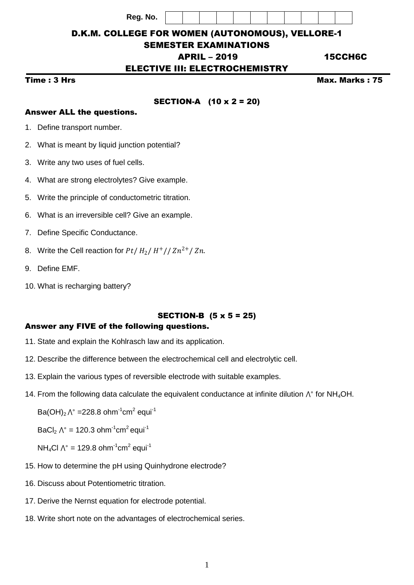**Reg. No.**

D.K.M. COLLEGE FOR WOMEN (AUTONOMOUS), VELLORE-1

## SEMESTER EXAMINATIONS

# APRIL – 2019 15CCH6C

# ELECTIVE III: ELECTROCHEMISTRY

#### Time : 3 Hrs Max. Marks : 75

# SECTION-A (10 x 2 = 20)

#### Answer ALL the questions.

- 1. Define transport number.
- 2. What is meant by liquid junction potential?
- 3. Write any two uses of fuel cells.
- 4. What are strong electrolytes? Give example.
- 5. Write the principle of conductometric titration.
- 6. What is an irreversible cell? Give an example.
- 7. Define Specific Conductance.
- 8. Write the Cell reaction for  $Pt/H_2/H^+/Zn^{2+}/Zn$ .
- 9. Define EMF.
- 10. What is recharging battery?

# SECTION-B (5 x 5 = 25)

# Answer any FIVE of the following questions.

- 11. State and explain the Kohlrasch law and its application.
- 12. Describe the difference between the electrochemical cell and electrolytic cell.
- 13. Explain the various types of reversible electrode with suitable examples.
- 14. From the following data calculate the equivalent conductance at infinite dilution  $\Lambda^{\circ}$  for NH<sub>4</sub>OH.

Ba(OH)<sub>2</sub>  $\Lambda^{\circ}$  =228.8 ohm<sup>-1</sup>cm<sup>2</sup> equi<sup>-1</sup>

BaCl<sub>2</sub>  $\Lambda^{\circ}$  = 120.3 ohm<sup>-1</sup>cm<sup>2</sup> equi<sup>-1</sup>

NH<sub>4</sub>Cl  $\Lambda^{\circ}$  = 129.8 ohm<sup>-1</sup>cm<sup>2</sup> equi<sup>-1</sup>

- 15. How to determine the pH using Quinhydrone electrode?
- 16. Discuss about Potentiometric titration.
- 17. Derive the Nernst equation for electrode potential.
- 18. Write short note on the advantages of electrochemical series.